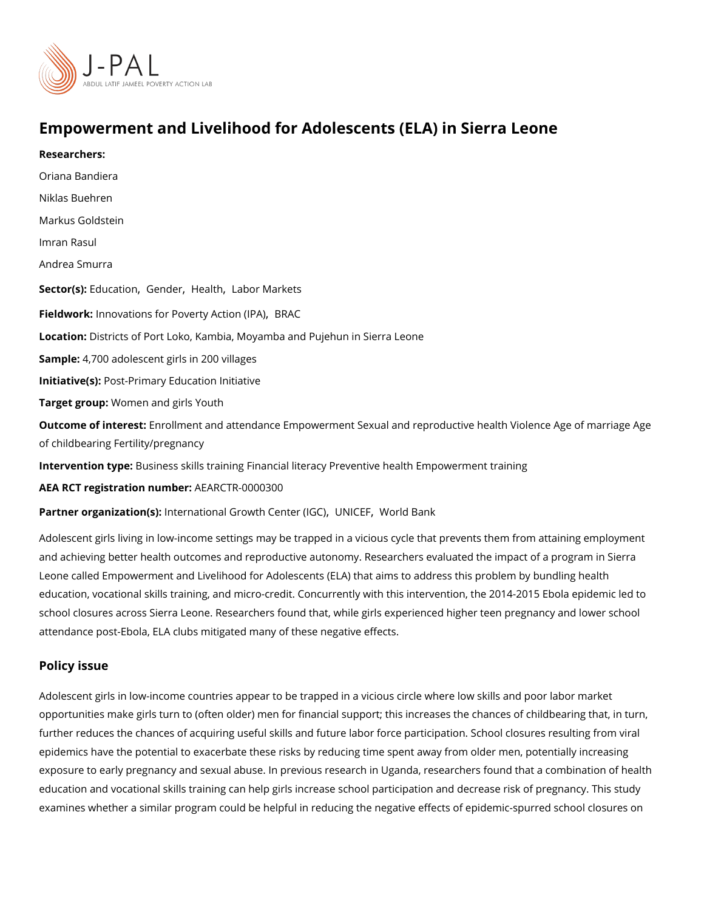# Empowerment and Livelihood for Adolescents (ELA) in Sierr

Researchers:

[Oriana Ban](https://www.povertyactionlab.org/person/bandiera)diera

Niklas Buehren

Markus Goldstein

[Imran R](https://www.povertyactionlab.org/person/rasul)asul

Andrea Smurra

Sector([Educat](https://www.povertyactionlab.org/sector/education)ion ndelerlealth abor Markets

Fieldworkhnovations for Poverty[,](https://www.povertyactionlab.org/partners/innovations-poverty-action-ipa) BoRtAoCh (IPA)

LocatioDistricts of Port Loko, Kambia, Moyamba and Pujehun in Sierra Leone

Sample: 700 adolescent girls in 200 villages

Initiative Ps st-Primary Education Initiative

Target groWpm:men and girls Youth

Outcome of interested: Iment and attendance Empowerment Sexual and reproductive health V of childbearing Fertility/pregnancy

Intervention tßpeiness skills training Financial literacy Preventive health Empowerment tr

AEA RCT registration ArEuAnRbGeTR-0000300

Partner organizatlinotre(rsn) ational Growth C[,](https://www.povertyactionlab.org/partners/unicef) eUnN't de EL \GOOC I d Bank

Adolescent girls living in low-income settings may be trapped in a vicious cycle that prev and achieving better health outcomes and reproductive autonomy. Researchers evaluated Leone called Empowerment and Livelihood for Adolescents (ELA) that aims to address this education, vocational skills training, and micro-credit. Concurrently with this intervention school closures across Sierra Leone. Researchers found that, while girls experienced hig attendance post-Ebola, ELA clubs mitigated many of these negative effects.

#### Policy issue

Adolescent girls in low-income countries appear to be trapped in a vicious circle where lo opportunities make girls turn to (often older) men for financial support; this increases the further reduces the chances of acquiring useful skills and future labor force participation epidemics have the potential to exacerbate these risks by reducing time spent away from exposure to early pregnancy and pseexuinolu abruessee.ato.h , in eL begaand hers found that a combination education and vocational skills training can help girls increase school participation and d examines whether a similar program could be helpful in reducing the negative effects of e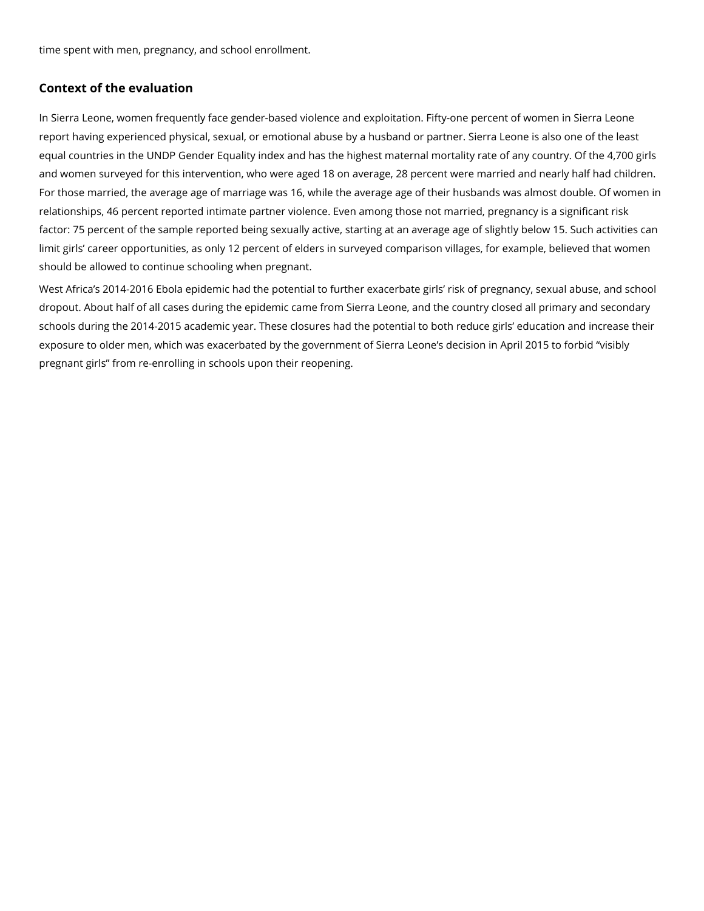time spent with men, pregnancy, and school enrollment.

### **Context of the evaluation**

In Sierra Leone, women frequently face gender-based violence and exploitation. Fifty-one percent of women in Sierra Leone report having experienced physical, sexual, or emotional abuse by a husband or partner. Sierra Leone is also one of the least equal countries in the UNDP Gender Equality index and has the highest maternal mortality rate of any country. Of the 4,700 girls and women surveyed for this intervention, who were aged 18 on average, 28 percent were married and nearly half had children. For those married, the average age of marriage was 16, while the average age of their husbands was almost double. Of women in relationships, 46 percent reported intimate partner violence. Even among those not married, pregnancy is a significant risk factor: 75 percent of the sample reported being sexually active, starting at an average age of slightly below 15. Such activities can limit girls' career opportunities, as only 12 percent of elders in surveyed comparison villages, for example, believed that women should be allowed to continue schooling when pregnant.

West Africa's 2014-2016 Ebola epidemic had the potential to further exacerbate girls' risk of pregnancy, sexual abuse, and school dropout. About half of all cases during the epidemic came from Sierra Leone, and the country closed all primary and secondary schools during the 2014-2015 academic year. These closures had the potential to both reduce girls' education and increase their exposure to older men, which was exacerbated by the government of Sierra Leone's decision in April 2015 to forbid "visibly pregnant girls" from re-enrolling in schools upon their reopening.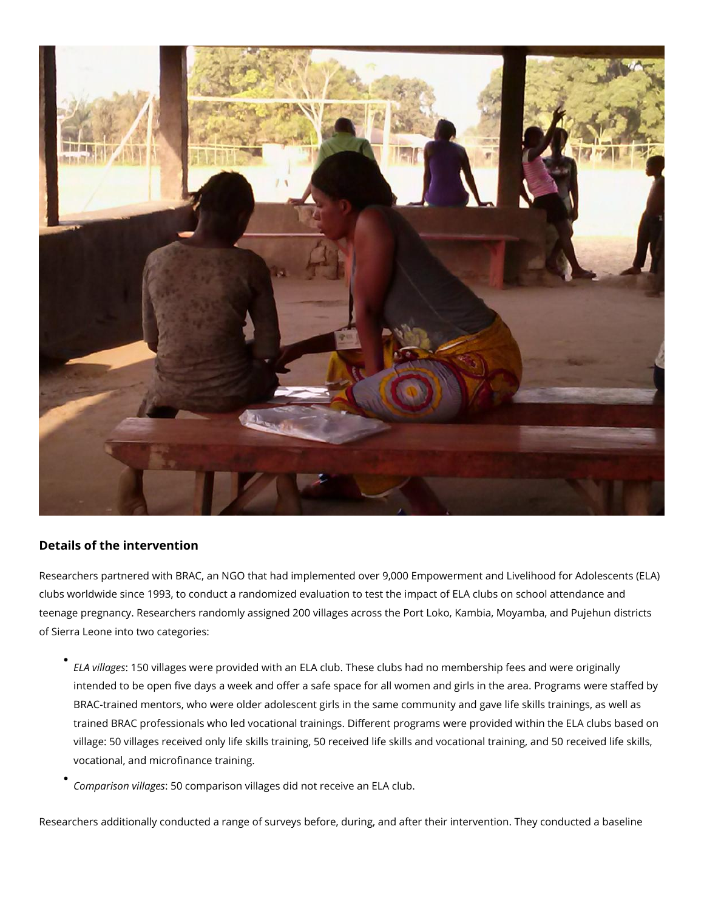

## **Details of the intervention**

Researchers partnered with BRAC, an NGO that had implemented over 9,000 Empowerment and Livelihood for Adolescents (ELA) clubs worldwide since 1993, to conduct a randomized evaluation to test the impact of ELA clubs on school attendance and teenage pregnancy. Researchers randomly assigned 200 villages across the Port Loko, Kambia, Moyamba, and Pujehun districts of Sierra Leone into two categories:

- *ELA villages*: 150 villages were provided with an ELA club. These clubs had no membership fees and were originally intended to be open five days a week and offer a safe space for all women and girls in the area. Programs were staffed by BRAC-trained mentors, who were older adolescent girls in the same community and gave life skills trainings, as well as trained BRAC professionals who led vocational trainings. Different programs were provided within the ELA clubs based on village: 50 villages received only life skills training, 50 received life skills and vocational training, and 50 received life skills, vocational, and microfinance training.
- *Comparison villages*: 50 comparison villages did not receive an ELA club.

Researchers additionally conducted a range of surveys before, during, and after their intervention. They conducted a baseline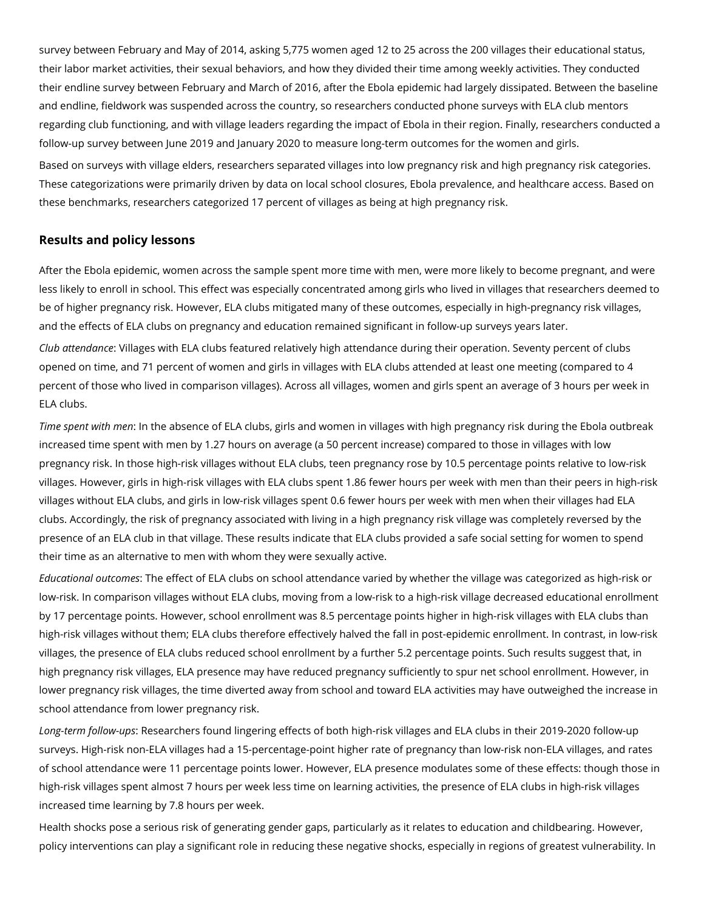survey between February and May of 2014, asking 5,775 women aged 12 to 25 across the 200 villages their educational status, their labor market activities, their sexual behaviors, and how they divided their time among weekly activities. They conducted their endline survey between February and March of 2016, after the Ebola epidemic had largely dissipated. Between the baseline and endline, fieldwork was suspended across the country, so researchers conducted phone surveys with ELA club mentors regarding club functioning, and with village leaders regarding the impact of Ebola in their region. Finally, researchers conducted a follow-up survey between June 2019 and January 2020 to measure long-term outcomes for the women and girls.

Based on surveys with village elders, researchers separated villages into low pregnancy risk and high pregnancy risk categories. These categorizations were primarily driven by data on local school closures, Ebola prevalence, and healthcare access. Based on these benchmarks, researchers categorized 17 percent of villages as being at high pregnancy risk.

#### **Results and policy lessons**

After the Ebola epidemic, women across the sample spent more time with men, were more likely to become pregnant, and were less likely to enroll in school. This effect was especially concentrated among girls who lived in villages that researchers deemed to be of higher pregnancy risk. However, ELA clubs mitigated many of these outcomes, especially in high-pregnancy risk villages, and the effects of ELA clubs on pregnancy and education remained significant in follow-up surveys years later.

*Club attendance*: Villages with ELA clubs featured relatively high attendance during their operation. Seventy percent of clubs opened on time, and 71 percent of women and girls in villages with ELA clubs attended at least one meeting (compared to 4 percent of those who lived in comparison villages). Across all villages, women and girls spent an average of 3 hours per week in ELA clubs.

*Time spent with men*: In the absence of ELA clubs, girls and women in villages with high pregnancy risk during the Ebola outbreak increased time spent with men by 1.27 hours on average (a 50 percent increase) compared to those in villages with low pregnancy risk. In those high-risk villages without ELA clubs, teen pregnancy rose by 10.5 percentage points relative to low-risk villages. However, girls in high-risk villages with ELA clubs spent 1.86 fewer hours per week with men than their peers in high-risk villages without ELA clubs, and girls in low-risk villages spent 0.6 fewer hours per week with men when their villages had ELA clubs. Accordingly, the risk of pregnancy associated with living in a high pregnancy risk village was completely reversed by the presence of an ELA club in that village. These results indicate that ELA clubs provided a safe social setting for women to spend their time as an alternative to men with whom they were sexually active.

*Educational outcomes*: The effect of ELA clubs on school attendance varied by whether the village was categorized as high-risk or low-risk. In comparison villages without ELA clubs, moving from a low-risk to a high-risk village decreased educational enrollment by 17 percentage points. However, school enrollment was 8.5 percentage points higher in high-risk villages with ELA clubs than high-risk villages without them; ELA clubs therefore effectively halved the fall in post-epidemic enrollment. In contrast, in low-risk villages, the presence of ELA clubs reduced school enrollment by a further 5.2 percentage points. Such results suggest that, in high pregnancy risk villages, ELA presence may have reduced pregnancy sufficiently to spur net school enrollment. However, in lower pregnancy risk villages, the time diverted away from school and toward ELA activities may have outweighed the increase in school attendance from lower pregnancy risk.

*Long-term follow-ups*: Researchers found lingering effects of both high-risk villages and ELA clubs in their 2019-2020 follow-up surveys. High-risk non-ELA villages had a 15-percentage-point higher rate of pregnancy than low-risk non-ELA villages, and rates of school attendance were 11 percentage points lower. However, ELA presence modulates some of these effects: though those in high-risk villages spent almost 7 hours per week less time on learning activities, the presence of ELA clubs in high-risk villages increased time learning by 7.8 hours per week.

Health shocks pose a serious risk of generating gender gaps, particularly as it relates to education and childbearing. However, policy interventions can play a significant role in reducing these negative shocks, especially in regions of greatest vulnerability. In